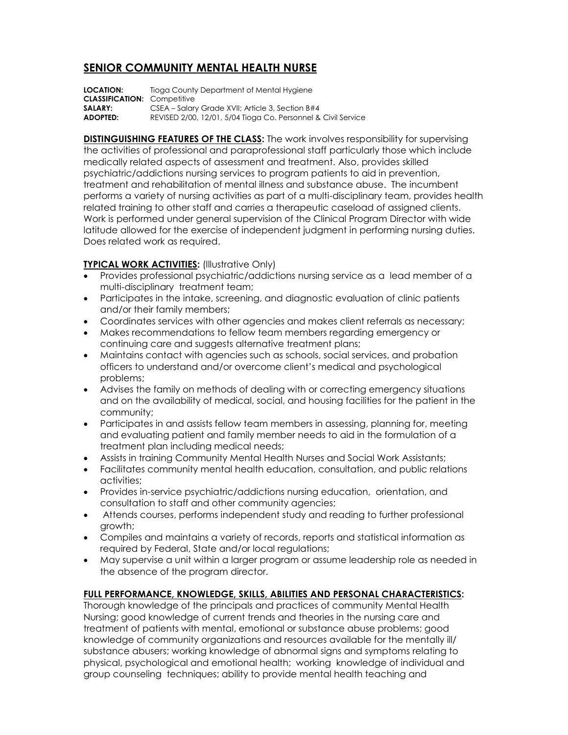## **SENIOR COMMUNITY MENTAL HEALTH NURSE**

**LOCATION:** Tioga County Department of Mental Hygiene **CLASSIFICATION:** Competitive<br>**SALARY:** CSEA – Salan CSEA – Salary Grade XVII; Article 3, Section B#4 **ADOPTED:** REVISED 2/00, 12/01, 5/04 Tioga Co. Personnel & Civil Service

**DISTINGUISHING FEATURES OF THE CLASS:** The work involves responsibility for supervising the activities of professional and paraprofessional staff particularly those which include medically related aspects of assessment and treatment. Also, provides skilled psychiatric/addictions nursing services to program patients to aid in prevention, treatment and rehabilitation of mental illness and substance abuse. The incumbent performs a variety of nursing activities as part of a multi-disciplinary team, provides health related training to other staff and carries a therapeutic caseload of assigned clients. Work is performed under general supervision of the Clinical Program Director with wide latitude allowed for the exercise of independent judgment in performing nursing duties. Does related work as required.

## **TYPICAL WORK ACTIVITIES: (Illustrative Only)**

- Provides professional psychiatric/addictions nursing service as a lead member of a multi-disciplinary treatment team;
- Participates in the intake, screening, and diagnostic evaluation of clinic patients and/or their family members;
- Coordinates services with other agencies and makes client referrals as necessary;
- Makes recommendations to fellow team members regarding emergency or continuing care and suggests alternative treatment plans;
- Maintains contact with agencies such as schools, social services, and probation officers to understand and/or overcome client's medical and psychological problems;
- Advises the family on methods of dealing with or correcting emergency situations and on the availability of medical, social, and housing facilities for the patient in the community;
- Participates in and assists fellow team members in assessing, planning for, meeting and evaluating patient and family member needs to aid in the formulation of a treatment plan including medical needs;
- Assists in training Community Mental Health Nurses and Social Work Assistants;
- Facilitates community mental health education, consultation, and public relations activities;
- Provides in-service psychiatric/addictions nursing education, orientation, and consultation to staff and other community agencies;
- Attends courses, performs independent study and reading to further professional growth;
- Compiles and maintains a variety of records, reports and statistical information as required by Federal, State and/or local regulations;
- May supervise a unit within a larger program or assume leadership role as needed in the absence of the program director.

## **FULL PERFORMANCE, KNOWLEDGE, SKILLS, ABILITIES AND PERSONAL CHARACTERISTICS:**

Thorough knowledge of the principals and practices of community Mental Health Nursing; good knowledge of current trends and theories in the nursing care and treatment of patients with mental, emotional or substance abuse problems; good knowledge of community organizations and resources available for the mentally ill/ substance abusers; working knowledge of abnormal signs and symptoms relating to physical, psychological and emotional health; working knowledge of individual and group counseling techniques; ability to provide mental health teaching and